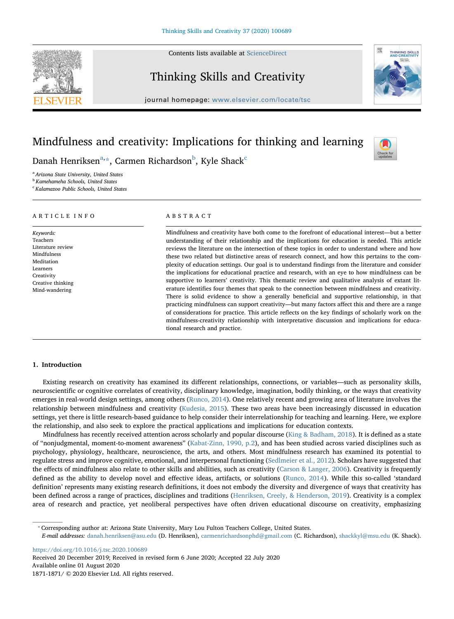Contents lists available at [ScienceDirect](http://www.sciencedirect.com/science/journal/18711871)



Check fo

# Thinking Skills and Creativity

journal homepage: [www.elsevier.com/locate/tsc](https://www.elsevier.com/locate/tsc)

# Mindfulness and creativity: Implications for thinking and learning

D[a](#page-0-0)nah Henriksen $a, x$ , Carmen Ri[c](#page-0-3)hardson $b$ , Kyle Shack<sup>c</sup>

<span id="page-0-0"></span><sup>a</sup> Arizona State University, United States

<span id="page-0-2"></span>**b** Kamehameha Schools, United States

<span id="page-0-3"></span><sup>c</sup> Kalamazoo Public Schools, United States

# ARTICLE INFO

Keywords: Teachers Literature review Mindfulness Meditation Learners **Creativity** Creative thinking Mind-wandering

# ABSTRACT

Mindfulness and creativity have both come to the forefront of educational interest—but a better understanding of their relationship and the implications for education is needed. This article reviews the literature on the intersection of these topics in order to understand where and how these two related but distinctive areas of research connect, and how this pertains to the complexity of education settings. Our goal is to understand findings from the literature and consider the implications for educational practice and research, with an eye to how mindfulness can be supportive to learners' creativity. This thematic review and qualitative analysis of extant literature identifies four themes that speak to the connection between mindfulness and creativity. There is solid evidence to show a generally beneficial and supportive relationship, in that practicing mindfulness can support creativity—but many factors affect this and there are a range of considerations for practice. This article reflects on the key findings of scholarly work on the mindfulness-creativity relationship with interpretative discussion and implications for educational research and practice.

# 1. Introduction

Existing research on creativity has examined its different relationships, connections, or variables—such as personality skills, neuroscientific or cognitive correlates of creativity, disciplinary knowledge, imagination, bodily thinking, or the ways that creativity emerges in real-world design settings, among others ([Runco, 2014\)](#page-9-0). One relatively recent and growing area of literature involves the relationship between mindfulness and creativity [\(Kudesia, 2015](#page-8-0)). These two areas have been increasingly discussed in education settings, yet there is little research-based guidance to help consider their interrelationship for teaching and learning. Here, we explore the relationship, and also seek to explore the practical applications and implications for education contexts.

Mindfulness has recently received attention across scholarly and popular discourse ([King & Badham, 2018\)](#page-8-1). It is defined as a state of "nonjudgmental, moment-to-moment awareness" [\(Kabat-Zinn, 1990, p.2\)](#page-8-2), and has been studied across varied disciplines such as psychology, physiology, healthcare, neuroscience, the arts, and others. Most mindfulness research has examined its potential to regulate stress and improve cognitive, emotional, and interpersonal functioning ([Sedlmeier et al., 2012\)](#page-9-1). Scholars have suggested that the effects of mindfulness also relate to other skills and abilities, such as creativity [\(Carson & Langer, 2006](#page-8-3)). Creativity is frequently defined as the ability to develop novel and effective ideas, artifacts, or solutions ([Runco, 2014\)](#page-9-0). While this so-called 'standard definition' represents many existing research definitions, it does not embody the diversity and divergence of ways that creativity has been defined across a range of practices, disciplines and traditions ([Henriksen, Creely, & Henderson, 2019](#page-8-4)). Creativity is a complex area of research and practice, yet neoliberal perspectives have often driven educational discourse on creativity, emphasizing

<span id="page-0-1"></span>⁎ Corresponding author at: Arizona State University, Mary Lou Fulton Teachers College, United States.

E-mail addresses: [danah.henriksen@asu.edu](mailto:danah.henriksen@asu.edu) (D. Henriksen), [carmenrichardsonphd@gmail.com](mailto:carmenrichardsonphd@gmail.com) (C. Richardson), [shackkyl@msu.edu](mailto:shackkyl@msu.edu) (K. Shack).

<https://doi.org/10.1016/j.tsc.2020.100689>

Received 20 December 2019; Received in revised form 6 June 2020; Accepted 22 July 2020 Available online 01 August 2020 1871-1871/ © 2020 Elsevier Ltd. All rights reserved.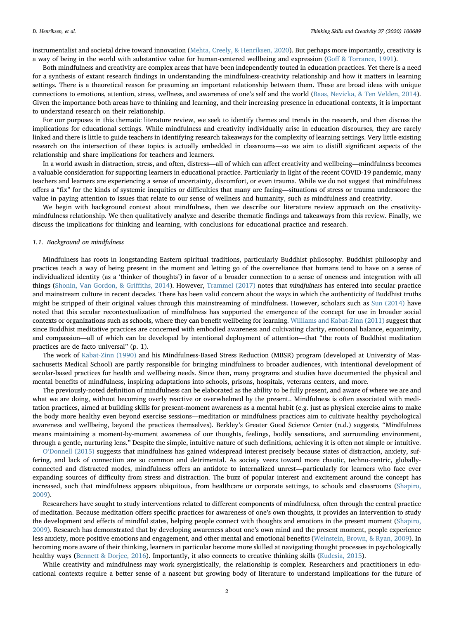instrumentalist and societal drive toward innovation [\(Mehta, Creely, & Henriksen, 2020\)](#page-9-2). But perhaps more importantly, creativity is a way of being in the world with substantive value for human-centered wellbeing and expression (Goff [& Torrance, 1991](#page-8-5)).

Both mindfulness and creativity are complex areas that have been independently touted in education practices. Yet there is a need for a synthesis of extant research findings in understanding the mindfulness-creativity relationship and how it matters in learning settings. There is a theoretical reason for presuming an important relationship between them. These are broad ideas with unique connections to emotions, attention, stress, wellness, and awareness of one's self and the world [\(Baas, Nevicka, & Ten Velden, 2014](#page-8-6)). Given the importance both areas have to thinking and learning, and their increasing presence in educational contexts, it is important to understand research on their relationship.

For our purposes in this thematic literature review, we seek to identify themes and trends in the research, and then discuss the implications for educational settings. While mindfulness and creativity individually arise in education discourses, they are rarely linked and there is little to guide teachers in identifying research takeaways for the complexity of learning settings. Very little existing research on the intersection of these topics is actually embedded in classrooms—so we aim to distill significant aspects of the relationship and share implications for teachers and learners.

In a world awash in distraction, stress, and often, distress—all of which can affect creativity and wellbeing—mindfulness becomes a valuable consideration for supporting learners in educational practice. Particularly in light of the recent COVID-19 pandemic, many teachers and learners are experiencing a sense of uncertainty, discomfort, or even trauma. While we do not suggest that mindfulness offers a "fix" for the kinds of systemic inequities or difficulties that many are facing—situations of stress or trauma underscore the value in paying attention to issues that relate to our sense of wellness and humanity, such as mindfulness and creativity.

We begin with background context about mindfulness, then we describe our literature review approach on the creativitymindfulness relationship. We then qualitatively analyze and describe thematic findings and takeaways from this review. Finally, we discuss the implications for thinking and learning, with conclusions for educational practice and research.

#### 1.1. Background on mindfulness

Mindfulness has roots in longstanding Eastern spiritual traditions, particularly Buddhist philosophy. Buddhist philosophy and practices teach a way of being present in the moment and letting go of the overreliance that humans tend to have on a sense of individualized identity (as a 'thinker of thoughts') in favor of a broader connection to a sense of oneness and integration with all things [\(Shonin, Van Gordon, & Gri](#page-9-3)ffiths, 2014). However, [Trammel \(2017\)](#page-9-4) notes that mindfulness has entered into secular practice and mainstream culture in recent decades. There has been valid concern about the ways in which the authenticity of Buddhist truths might be stripped of their original values through this mainstreaming of mindfulness. However, scholars such as [Sun \(2014\)](#page-9-5) have noted that this secular recontextualization of mindfulness has supported the emergence of the concept for use in broader social contexts or organizations such as schools, where they can benefit wellbeing for learning. [Williams and Kabat-Zinn \(2011\)](#page-9-6) suggest that since Buddhist meditative practices are concerned with embodied awareness and cultivating clarity, emotional balance, equanimity, and compassion—all of which can be developed by intentional deployment of attention—that "the roots of Buddhist meditation practices are de facto universal" (p. 1).

The work of [Kabat-Zinn \(1990\)](#page-8-2) and his Mindfulness-Based Stress Reduction (MBSR) program (developed at University of Massachusetts Medical School) are partly responsible for bringing mindfulness to broader audiences, with intentional development of secular-based practices for health and wellbeing needs. Since then, many programs and studies have documented the physical and mental benefits of mindfulness, inspiring adaptations into schools, prisons, hospitals, veterans centers, and more.

The previously-noted definition of mindfulness can be elaborated as the ability to be fully present, and aware of where we are and what we are doing, without becoming overly reactive or overwhelmed by the present.. Mindfulness is often associated with meditation practices, aimed at building skills for present-moment awareness as a mental habit (e.g. just as physical exercise aims to make the body more healthy even beyond exercise sessions—meditation or mindfulness practices aim to cultivate healthy psychological awareness and wellbeing, beyond the practices themselves). Berkley's Greater Good Science Center (n.d.) suggests, "Mindfulness means maintaining a moment-by-moment awareness of our thoughts, feelings, bodily sensations, and surrounding environment, through a gentle, nurturing lens." Despite the simple, intuitive nature of such definitions, achieving it is often not simple or intuitive.

O'[Donnell \(2015\)](#page-9-7) suggests that mindfulness has gained widespread interest precisely because states of distraction, anxiety, suffering, and lack of connection are so common and detrimental. As society veers toward more chaotic, techno-centric, globallyconnected and distracted modes, mindfulness offers an antidote to internalized unrest—particularly for learners who face ever expanding sources of difficulty from stress and distraction. The buzz of popular interest and excitement around the concept has increased, such that mindfulness appears ubiquitous, from healthcare or corporate settings, to schools and classrooms ([Shapiro,](#page-9-8) [2009\)](#page-9-8).

Researchers have sought to study interventions related to different components of mindfulness, often through the central practice of meditation. Because meditation offers specific practices for awareness of one's own thoughts, it provides an intervention to study the development and effects of mindful states, helping people connect with thoughts and emotions in the present moment ([Shapiro,](#page-9-8) [2009\)](#page-9-8). Research has demonstrated that by developing awareness about one's own mind and the present moment, people experience less anxiety, more positive emotions and engagement, and other mental and emotional benefits ([Weinstein, Brown, & Ryan, 2009\)](#page-9-9). In becoming more aware of their thinking, learners in particular become more skilled at navigating thought processes in psychologically healthy ways [\(Bennett & Dorjee, 2016](#page-8-7)). Importantly, it also connects to creative thinking skills ([Kudesia, 2015](#page-8-0)).

While creativity and mindfulness may work synergistically, the relationship is complex. Researchers and practitioners in educational contexts require a better sense of a nascent but growing body of literature to understand implications for the future of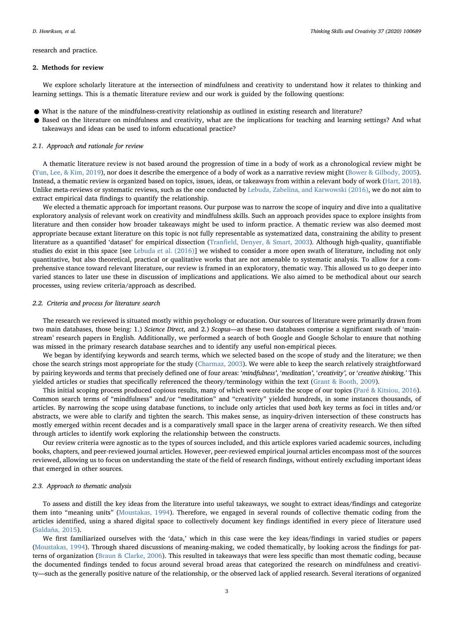research and practice.

#### 2. Methods for review

We explore scholarly literature at the intersection of mindfulness and creativity to understand how it relates to thinking and learning settings. This is a thematic literature review and our work is guided by the following questions:

- What is the nature of the mindfulness-creativity relationship as outlined in existing research and literature?
- Based on the literature on mindfulness and creativity, what are the implications for teaching and learning settings? And what takeaways and ideas can be used to inform educational practice?

#### 2.1. Approach and rationale for review

A thematic literature review is not based around the progression of time in a body of work as a chronological review might be ([Yun, Lee, & Kim, 2019\)](#page-9-10), nor does it describe the emergence of a body of work as a narrative review might ([Bower & Gilbody, 2005](#page-8-8)). Instead, a thematic review is organized based on topics, issues, ideas, or takeaways from within a relevant body of work [\(Hart, 2018\)](#page-8-9). Unlike meta-reviews or systematic reviews, such as the one conducted by [Lebuda, Zabelina, and Karwowski \(2016\),](#page-9-11) we do not aim to extract empirical data findings to quantify the relationship.

We elected a thematic approach for important reasons. Our purpose was to narrow the scope of inquiry and dive into a qualitative exploratory analysis of relevant work on creativity and mindfulness skills. Such an approach provides space to explore insights from literature and then consider how broader takeaways might be used to inform practice. A thematic review was also deemed most appropriate because extant literature on this topic is not fully representable as systematized data, constraining the ability to present literature as a quantified 'dataset' for empirical dissection (Tranfi[eld, Denyer, & Smart, 2003](#page-9-12)). Although high-quality, quantifiable studies do exist in this space [see [Lebuda et al. \(2016\)](#page-9-11)] we wished to consider a more open swath of literature, including not only quantitative, but also theoretical, practical or qualitative works that are not amenable to systematic analysis. To allow for a comprehensive stance toward relevant literature, our review is framed in an exploratory, thematic way. This allowed us to go deeper into varied stances to later use these in discussion of implications and applications. We also aimed to be methodical about our search processes, using review criteria/approach as described.

# 2.2. Criteria and process for literature search

The research we reviewed is situated mostly within psychology or education. Our sources of literature were primarily drawn from two main databases, those being: 1.) Science Direct, and 2.) Scopus—as these two databases comprise a significant swath of 'mainstream' research papers in English. Additionally, we performed a search of both Google and Google Scholar to ensure that nothing was missed in the primary research database searches and to identify any useful non-empirical pieces.

We began by identifying keywords and search terms, which we selected based on the scope of study and the literature; we then chose the search strings most appropriate for the study [\(Charmaz, 2003](#page-8-10)). We were able to keep the search relatively straightforward by pairing keywords and terms that precisely defined one of four areas: 'mindfulness', 'meditation', 'creativity', or 'creative thinking.' This yielded articles or studies that specifically referenced the theory/terminology within the text ([Grant & Booth, 2009](#page-8-11)).

This initial scoping process produced copious results, many of which were outside the scope of our topics [\(Paré & Kitsiou, 2016\)](#page-9-13). Common search terms of "mindfulness" and/or "meditation" and "creativity" yielded hundreds, in some instances thousands, of articles. By narrowing the scope using database functions, to include only articles that used both key terms as foci in titles and/or abstracts, we were able to clarify and tighten the search. This makes sense, as inquiry-driven intersection of these constructs has mostly emerged within recent decades and is a comparatively small space in the larger arena of creativity research. We then sifted through articles to identify work exploring the relationship between the constructs.

Our review criteria were agnostic as to the types of sources included, and this article explores varied academic sources, including books, chapters, and peer-reviewed journal articles. However, peer-reviewed empirical journal articles encompass most of the sources reviewed, allowing us to focus on understanding the state of the field of research findings, without entirely excluding important ideas that emerged in other sources.

#### 2.3. Approach to thematic analysis

To assess and distill the key ideas from the literature into useful takeaways, we sought to extract ideas/findings and categorize them into "meaning units" ([Moustakas, 1994\)](#page-9-14). Therefore, we engaged in several rounds of collective thematic coding from the articles identified, using a shared digital space to collectively document key findings identified in every piece of literature used ([Saldaña, 2015\)](#page-9-15).

We first familiarized ourselves with the 'data,' which in this case were the key ideas/findings in varied studies or papers ([Moustakas, 1994](#page-9-14)). Through shared discussions of meaning-making, we coded thematically, by looking across the findings for patterns of organization ([Braun & Clarke, 2006\)](#page-8-12). This resulted in takeaways that were less specific than most thematic coding, because the documented findings tended to focus around several broad areas that categorized the research on mindfulness and creativity—such as the generally positive nature of the relationship, or the observed lack of applied research. Several iterations of organized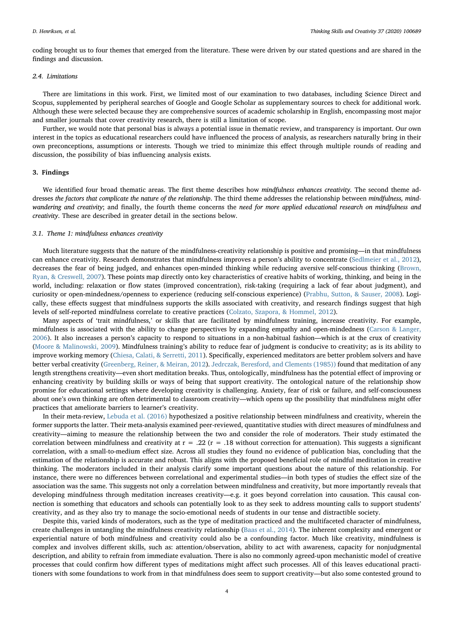coding brought us to four themes that emerged from the literature. These were driven by our stated questions and are shared in the findings and discussion.

### 2.4. Limitations

There are limitations in this work. First, we limited most of our examination to two databases, including Science Direct and Scopus, supplemented by peripheral searches of Google and Google Scholar as supplementary sources to check for additional work. Although these were selected because they are comprehensive sources of academic scholarship in English, encompassing most major and smaller journals that cover creativity research, there is still a limitation of scope.

Further, we would note that personal bias is always a potential issue in thematic review, and transparency is important. Our own interest in the topics as educational researchers could have influenced the process of analysis, as researchers naturally bring in their own preconceptions, assumptions or interests. Though we tried to minimize this effect through multiple rounds of reading and discussion, the possibility of bias influencing analysis exists.

# 3. Findings

We identified four broad thematic areas. The first theme describes how mindfulness enhances creativity. The second theme addresses the factors that complicate the nature of the relationship. The third theme addresses the relationship between mindfulness, mindwandering and creativity; and finally, the fourth theme concerns the need for more applied educational research on mindfulness and creativity. These are described in greater detail in the sections below.

#### 3.1. Theme 1: mindfulness enhances creativity

Much literature suggests that the nature of the mindfulness-creativity relationship is positive and promising—in that mindfulness can enhance creativity. Research demonstrates that mindfulness improves a person's ability to concentrate [\(Sedlmeier et al., 2012\)](#page-9-1), decreases the fear of being judged, and enhances open-minded thinking while reducing aversive self-conscious thinking ([Brown,](#page-8-13) [Ryan, & Creswell, 2007\)](#page-8-13). These points map directly onto key characteristics of creative habits of working, thinking, and being in the world, including: relaxation or flow states (improved concentration), risk-taking (requiring a lack of fear about judgment), and curiosity or open-mindedness/openness to experience (reducing self-conscious experience) [\(Prabhu, Sutton, & Sauser, 2008\)](#page-9-16). Logically, these effects suggest that mindfulness supports the skills associated with creativity, and research findings suggest that high levels of self-reported mindfulness correlate to creative practices ([Colzato, Szapora, & Hommel, 2012](#page-8-14)).

Many aspects of 'trait mindfulness,' or skills that are facilitated by mindfulness training, increase creativity. For example, mindfulness is associated with the ability to change perspectives by expanding empathy and open-mindedness [\(Carson & Langer,](#page-8-3) [2006\)](#page-8-3). It also increases a person's capacity to respond to situations in a non-habitual fashion—which is at the crux of creativity ([Moore & Malinowski, 2009\)](#page-9-17). Mindfulness training's ability to reduce fear of judgment is conducive to creativity; as is its ability to improve working memory [\(Chiesa, Calati, & Serretti, 2011\)](#page-8-15). Specifically, experienced meditators are better problem solvers and have better verbal creativity [\(Greenberg, Reiner, & Meiran, 2012\)](#page-8-16). [Jedrczak, Beresford, and Clements \(1985\)\)](#page-8-17) found that meditation of any length strengthens creativity—even short meditation breaks. Thus, ontologically, mindfulness has the potential effect of improving or enhancing creativity by building skills or ways of being that support creativity. The ontological nature of the relationship show promise for educational settings where developing creativity is challenging. Anxiety, fear of risk or failure, and self-consciousness about one's own thinking are often detrimental to classroom creativity—which opens up the possibility that mindfulness might offer practices that ameliorate barriers to learner's creativity.

In their meta-review, [Lebuda et al. \(2016\)](#page-9-11) hypothesized a positive relationship between mindfulness and creativity, wherein the former supports the latter. Their meta-analysis examined peer-reviewed, quantitative studies with direct measures of mindfulness and creativity—aiming to measure the relationship between the two and consider the role of moderators. Their study estimated the correlation between mindfulness and creativity at  $r = .22$  ( $r = .18$  without correction for attenuation). This suggests a significant correlation, with a small-to-medium effect size. Across all studies they found no evidence of publication bias, concluding that the estimation of the relationship is accurate and robust. This aligns with the proposed beneficial role of mindful meditation in creative thinking. The moderators included in their analysis clarify some important questions about the nature of this relationship. For instance, there were no differences between correlational and experimental studies—in both types of studies the effect size of the association was the same. This suggests not only a correlation between mindfulness and creativity, but more importantly reveals that developing mindfulness through meditation increases creativity—e.g. it goes beyond correlation into causation. This causal connection is something that educators and schools can potentially look to as they seek to address mounting calls to support students' creativity, and as they also try to manage the socio-emotional needs of students in our tense and distractible society.

Despite this, varied kinds of moderators, such as the type of meditation practiced and the multifaceted character of mindfulness, create challenges in untangling the mindfulness creativity relationship [\(Baas et al., 2014\)](#page-8-6). The inherent complexity and emergent or experiential nature of both mindfulness and creativity could also be a confounding factor. Much like creativity, mindfulness is complex and involves different skills, such as: attention/observation, ability to act with awareness, capacity for nonjudgmental description, and ability to refrain from immediate evaluation. There is also no commonly agreed-upon mechanistic model of creative processes that could confirm how different types of meditations might affect such processes. All of this leaves educational practitioners with some foundations to work from in that mindfulness does seem to support creativity—but also some contested ground to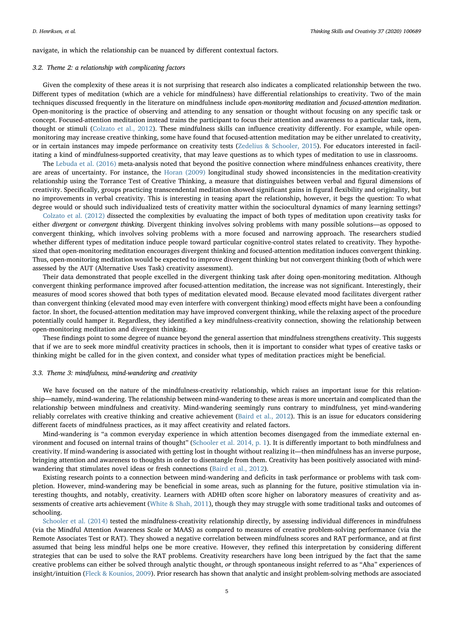navigate, in which the relationship can be nuanced by different contextual factors.

#### 3.2. Theme 2: a relationship with complicating factors

Given the complexity of these areas it is not surprising that research also indicates a complicated relationship between the two. Different types of meditation (which are a vehicle for mindfulness) have differential relationships to creativity. Two of the main techniques discussed frequently in the literature on mindfulness include open-monitoring meditation and focused-attention meditation. Open-monitoring is the practice of observing and attending to any sensation or thought without focusing on any specific task or concept. Focused-attention meditation instead trains the participant to focus their attention and awareness to a particular task, item, thought or stimuli [\(Colzato et al., 2012](#page-8-14)). These mindfulness skills can influence creativity differently. For example, while openmonitoring may increase creative thinking, some have found that focused-attention meditation may be either unrelated to creativity, or in certain instances may impede performance on creativity tests ([Zedelius & Schooler, 2015](#page-9-18)). For educators interested in facilitating a kind of mindfulness-supported creativity, that may leave questions as to which types of meditation to use in classrooms.

The [Lebuda et al. \(2016\)](#page-9-11) meta-analysis noted that beyond the positive connection where mindfulness enhances creativity, there are areas of uncertainty. For instance, the [Horan \(2009\)](#page-8-18) longitudinal study showed inconsistencies in the meditation-creativity relationship using the Torrance Test of Creative Thinking, a measure that distinguishes between verbal and figural dimensions of creativity. Specifically, groups practicing transcendental meditation showed significant gains in figural flexibility and originality, but no improvements in verbal creativity. This is interesting in teasing apart the relationship, however, it begs the question: To what degree would or should such individualized tests of creativity matter within the sociocultural dynamics of many learning settings?

[Colzato et al. \(2012\)](#page-8-14) dissected the complexities by evaluating the impact of both types of meditation upon creativity tasks for either divergent or convergent thinking. Divergent thinking involves solving problems with many possible solutions—as opposed to convergent thinking, which involves solving problems with a more focused and narrowing approach. The researchers studied whether different types of meditation induce people toward particular cognitive-control states related to creativity. They hypothesized that open-monitoring meditation encourages divergent thinking and focused-attention meditation induces convergent thinking. Thus, open-monitoring meditation would be expected to improve divergent thinking but not convergent thinking (both of which were assessed by the AUT (Alternative Uses Task) creativity assessment).

Their data demonstrated that people excelled in the divergent thinking task after doing open-monitoring meditation. Although convergent thinking performance improved after focused-attention meditation, the increase was not significant. Interestingly, their measures of mood scores showed that both types of meditation elevated mood. Because elevated mood facilitates divergent rather than convergent thinking (elevated mood may even interfere with convergent thinking) mood effects might have been a confounding factor. In short, the focused-attention meditation may have improved convergent thinking, while the relaxing aspect of the procedure potentially could hamper it. Regardless, they identified a key mindfulness-creativity connection, showing the relationship between open-monitoring meditation and divergent thinking.

These findings point to some degree of nuance beyond the general assertion that mindfulness strengthens creativity. This suggests that if we are to seek more mindful creativity practices in schools, then it is important to consider what types of creative tasks or thinking might be called for in the given context, and consider what types of meditation practices might be beneficial.

# 3.3. Theme 3: mindfulness, mind-wandering and creativity

We have focused on the nature of the mindfulness-creativity relationship, which raises an important issue for this relationship—namely, mind-wandering. The relationship between mind-wandering to these areas is more uncertain and complicated than the relationship between mindfulness and creativity. Mind-wandering seemingly runs contrary to mindfulness, yet mind-wandering reliably correlates with creative thinking and creative achievement ([Baird et al., 2012\)](#page-8-19). This is an issue for educators considering different facets of mindfulness practices, as it may affect creativity and related factors.

Mind-wandering is "a common everyday experience in which attention becomes disengaged from the immediate external environment and focused on internal trains of thought" [\(Schooler et al. 2014, p. 1](#page-9-19)). It is differently important to both mindfulness and creativity. If mind-wandering is associated with getting lost in thought without realizing it—then mindfulness has an inverse purpose, bringing attention and awareness to thoughts in order to disentangle from them. Creativity has been positively associated with mindwandering that stimulates novel ideas or fresh connections ([Baird et al., 2012\)](#page-8-19).

Existing research points to a connection between mind-wandering and deficits in task performance or problems with task completion. However, mind-wandering may be beneficial in some areas, such as planning for the future, positive stimulation via interesting thoughts, and notably, creativity. Learners with ADHD often score higher on laboratory measures of creativity and assessments of creative arts achievement ([White & Shah, 2011\)](#page-9-20), though they may struggle with some traditional tasks and outcomes of schooling.

[Schooler et al. \(2014\)](#page-9-19) tested the mindfulness-creativity relationship directly, by assessing individual differences in mindfulness (via the Mindful Attention Awareness Scale or MAAS) as compared to measures of creative problem-solving performance (via the Remote Associates Test or RAT). They showed a negative correlation between mindfulness scores and RAT performance, and at first assumed that being less mindful helps one be more creative. However, they refined this interpretation by considering different strategies that can be used to solve the RAT problems. Creativity researchers have long been intrigued by the fact that the same creative problems can either be solved through analytic thought, or through spontaneous insight referred to as "Aha" experiences of insight/intuition [\(Fleck & Kounios, 2009](#page-8-20)). Prior research has shown that analytic and insight problem-solving methods are associated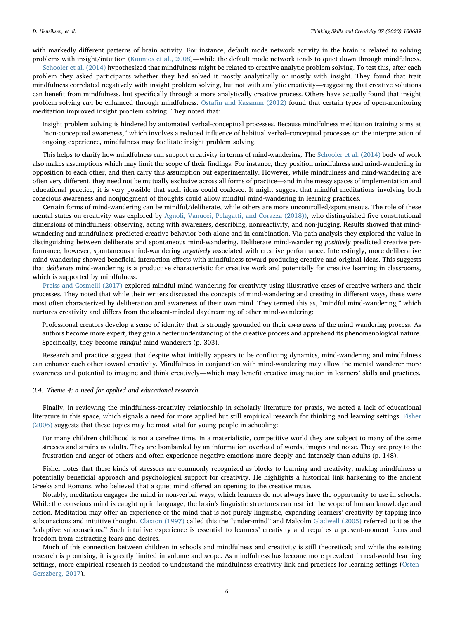with markedly different patterns of brain activity. For instance, default mode network activity in the brain is related to solving problems with insight/intuition ([Kounios et al., 2008](#page-8-21))—while the default mode network tends to quiet down through mindfulness.

[Schooler et al. \(2014\)](#page-9-19) hypothesized that mindfulness might be related to creative analytic problem solving. To test this, after each problem they asked participants whether they had solved it mostly analytically or mostly with insight. They found that trait mindfulness correlated negatively with insight problem solving, but not with analytic creativity—suggesting that creative solutions can benefit from mindfulness, but specifically through a more analytically creative process. Others have actually found that insight problem solving can be enhanced through mindfulness. Ostafi[n and Kassman \(2012\)](#page-9-21) found that certain types of open-monitoring meditation improved insight problem solving. They noted that:

Insight problem solving is hindered by automated verbal-conceptual processes. Because mindfulness meditation training aims at "non-conceptual awareness," which involves a reduced influence of habitual verbal–conceptual processes on the interpretation of ongoing experience, mindfulness may facilitate insight problem solving.

This helps to clarify how mindfulness can support creativity in terms of mind-wandering. The [Schooler et al. \(2014\)](#page-9-19) body of work also makes assumptions which may limit the scope of their findings. For instance, they position mindfulness and mind-wandering in opposition to each other, and then carry this assumption out experimentally. However, while mindfulness and mind-wandering are often very different, they need not be mutually exclusive across all forms of practice—and in the messy spaces of implementation and educational practice, it is very possible that such ideas could coalesce. It might suggest that mindful meditations involving both conscious awareness and nonjudgment of thoughts could allow mindful mind-wandering in learning practices.

Certain forms of mind-wandering can be mindful/deliberate, while others are more uncontrolled/spontaneous. The role of these mental states on creativity was explored by [Agnoli, Vanucci, Pelagatti, and Corazza \(2018\)\)](#page-8-22), who distinguished five constitutional dimensions of mindfulness: observing, acting with awareness, describing, nonreactivity, and non-judging. Results showed that mindwandering and mindfulness predicted creative behavior both alone and in combination. Via path analysis they explored the value in distinguishing between deliberate and spontaneous mind-wandering. Deliberate mind-wandering positively predicted creative performance; however, spontaneous mind-wandering negatively associated with creative performance. Interestingly, more deliberative mind-wandering showed beneficial interaction effects with mindfulness toward producing creative and original ideas. This suggests that deliberate mind-wandering is a productive characteristic for creative work and potentially for creative learning in classrooms, which is supported by mindfulness.

[Preiss and Cosmelli \(2017\)](#page-9-22) explored mindful mind-wandering for creativity using illustrative cases of creative writers and their processes. They noted that while their writers discussed the concepts of mind-wandering and creating in different ways, these were most often characterized by deliberation and awareness of their own mind. They termed this as, "mindful mind-wandering," which nurtures creativity and differs from the absent-minded daydreaming of other mind-wandering:

Professional creators develop a sense of identity that is strongly grounded on their awareness of the mind wandering process. As authors become more expert, they gain a better understanding of the creative process and apprehend its phenomenological nature. Specifically, they become mindful mind wanderers (p. 303).

Research and practice suggest that despite what initially appears to be conflicting dynamics, mind-wandering and mindfulness can enhance each other toward creativity. Mindfulness in conjunction with mind-wandering may allow the mental wanderer more awareness and potential to imagine and think creatively—which may benefit creative imagination in learners' skills and practices.

#### 3.4. Theme 4: a need for applied and educational research

Finally, in reviewing the mindfulness-creativity relationship in scholarly literature for praxis, we noted a lack of educational literature in this space, which signals a need for more applied but still empirical research for thinking and learning settings. [Fisher](#page-8-23) [\(2006\)](#page-8-23) suggests that these topics may be most vital for young people in schooling:

For many children childhood is not a carefree time. In a materialistic, competitive world they are subject to many of the same stresses and strains as adults. They are bombarded by an information overload of words, images and noise. They are prey to the frustration and anger of others and often experience negative emotions more deeply and intensely than adults (p. 148).

Fisher notes that these kinds of stressors are commonly recognized as blocks to learning and creativity, making mindfulness a potentially beneficial approach and psychological support for creativity. He highlights a historical link harkening to the ancient Greeks and Romans, who believed that a quiet mind offered an opening to the creative muse.

Notably, meditation engages the mind in non-verbal ways, which learners do not always have the opportunity to use in schools. While the conscious mind is caught up in language, the brain's linguistic structures can restrict the scope of human knowledge and action. Meditation may offer an experience of the mind that is not purely linguistic, expanding learners' creativity by tapping into subconscious and intuitive thought. [Claxton \(1997\)](#page-8-24) called this the "under-mind" and Malcolm [Gladwell \(2005\)](#page-8-25) referred to it as the "adaptive subconscious." Such intuitive experience is essential to learners' creativity and requires a present-moment focus and freedom from distracting fears and desires.

Much of this connection between children in schools and mindfulness and creativity is still theoretical; and while the existing research is promising, it is greatly limited in volume and scope. As mindfulness has become more prevalent in real-world learning settings, more empirical research is needed to understand the mindfulness-creativity link and practices for learning settings ([Osten-](#page-9-23)[Gerszberg, 2017\)](#page-9-23).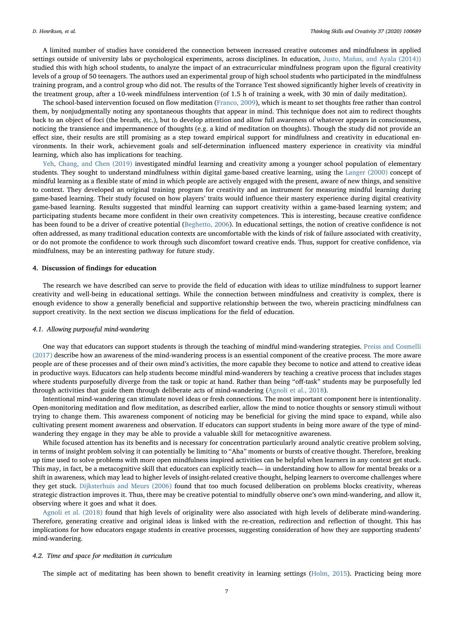A limited number of studies have considered the connection between increased creative outcomes and mindfulness in applied settings outside of university labs or psychological experiments, across disciplines. In education, [Justo, Mañas, and Ayala \(2014\)\)](#page-8-26) studied this with high school students, to analyze the impact of an extracurricular mindfulness program upon the figural creativity levels of a group of 50 teenagers. The authors used an experimental group of high school students who participated in the mindfulness training program, and a control group who did not. The results of the Torrance Test showed significantly higher levels of creativity in the treatment group, after a 10-week mindfulness intervention (of 1.5 h of training a week, with 30 min of daily meditation).

The school-based intervention focused on flow meditation [\(Franco, 2009](#page-8-27)), which is meant to set thoughts free rather than control them, by nonjudgmentally noting any spontaneous thoughts that appear in mind. This technique does not aim to redirect thoughts back to an object of foci (the breath, etc.), but to develop attention and allow full awareness of whatever appears in consciousness, noticing the transience and impermanence of thoughts (e.g. a kind of meditation on thoughts). Though the study did not provide an effect size, their results are still promising as a step toward empirical support for mindfulness and creativity in educational environments. In their work, achievement goals and self-determination influenced mastery experience in creativity via mindful learning, which also has implications for teaching.

[Yeh, Chang, and Chen \(2019\)](#page-9-24) investigated mindful learning and creativity among a younger school population of elementary students. They sought to understand mindfulness within digital game-based creative learning, using the [Langer \(2000\)](#page-9-25) concept of mindful learning as a flexible state of mind in which people are actively engaged with the present, aware of new things, and sensitive to context. They developed an original training program for creativity and an instrument for measuring mindful learning during game-based learning. Their study focused on how players' traits would influence their mastery experience during digital creativity game-based learning. Results suggested that mindful learning can support creativity within a game-based learning system; and participating students became more confident in their own creativity competences. This is interesting, because creative confidence has been found to be a driver of creative potential [\(Beghetto, 2006](#page-8-28)). In educational settings, the notion of creative confidence is not often addressed, as many traditional education contexts are uncomfortable with the kinds of risk of failure associated with creativity, or do not promote the confidence to work through such discomfort toward creative ends. Thus, support for creative confidence, via mindfulness, may be an interesting pathway for future study.

# 4. Discussion of findings for education

The research we have described can serve to provide the field of education with ideas to utilize mindfulness to support learner creativity and well-being in educational settings. While the connection between mindfulness and creativity is complex, there is enough evidence to show a generally beneficial and supportive relationship between the two, wherein practicing mindfulness can support creativity. In the next section we discuss implications for the field of education.

#### 4.1. Allowing purposeful mind-wandering

One way that educators can support students is through the teaching of mindful mind-wandering strategies. [Preiss and Cosmelli](#page-9-22) [\(2017\)](#page-9-22) describe how an awareness of the mind-wandering process is an essential component of the creative process. The more aware people are of these processes and of their own mind's activities, the more capable they become to notice and attend to creative ideas in productive ways. Educators can help students become mindful mind-wanderers by teaching a creative process that includes stages where students purposefully diverge from the task or topic at hand. Rather than being "off-task" students may be purposefully led through activities that guide them through deliberate acts of mind-wandering ([Agnoli et al., 2018\)](#page-8-22).

Intentional mind-wandering can stimulate novel ideas or fresh connections. The most important component here is intentionality. Open-monitoring meditation and flow meditation, as described earlier, allow the mind to notice thoughts or sensory stimuli without trying to change them. This awareness component of noticing may be beneficial for giving the mind space to expand, while also cultivating present moment awareness and observation. If educators can support students in being more aware of the type of mindwandering they engage in they may be able to provide a valuable skill for metacognitive awareness.

While focused attention has its benefits and is necessary for concentration particularly around analytic creative problem solving, in terms of insight problem solving it can potentially be limiting to "Aha" moments or bursts of creative thought. Therefore, breaking up time used to solve problems with more open mindfulness inspired activities can be helpful when learners in any context get stuck. This may, in fact, be a metacognitive skill that educators can explicitly teach— in understanding how to allow for mental breaks or a shift in awareness, which may lead to higher levels of insight-related creative thought, helping learners to overcome challenges where they get stuck. [Dijksterhuis and Meurs \(2006\)](#page-8-29) found that too much focused deliberation on problems blocks creativity, whereas strategic distraction improves it. Thus, there may be creative potential to mindfully observe one's own mind-wandering, and allow it, observing where it goes and what it does.

[Agnoli et al. \(2018\)](#page-8-22) found that high levels of originality were also associated with high levels of deliberate mind-wandering. Therefore, generating creative and original ideas is linked with the re-creation, redirection and reflection of thought. This has implications for how educators engage students in creative processes, suggesting consideration of how they are supporting students' mind-wandering.

#### 4.2. Time and space for meditation in curriculum

The simple act of meditating has been shown to benefit creativity in learning settings ([Holm, 2015\)](#page-8-30). Practicing being more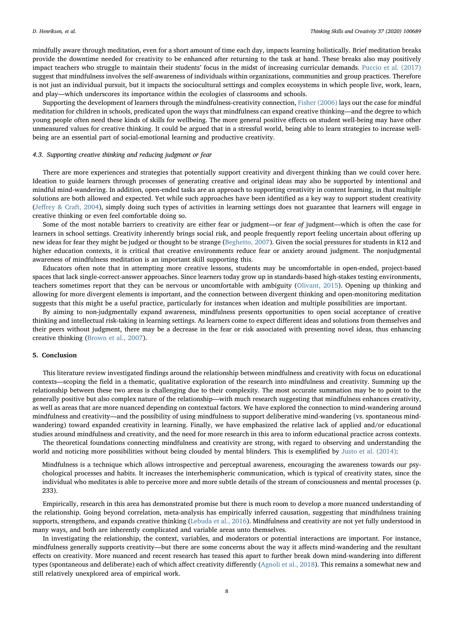mindfully aware through meditation, even for a short amount of time each day, impacts learning holistically. Brief meditation breaks provide the downtime needed for creativity to be enhanced after returning to the task at hand. These breaks also may positively impact teachers who struggle to maintain their students' focus in the midst of increasing curricular demands. [Puccio et al. \(2017\)](#page-9-26) suggest that mindfulness involves the self-awareness of individuals within organizations, communities and group practices. Therefore is not just an individual pursuit, but it impacts the sociocultural settings and complex ecosystems in which people live, work, learn, and play—which underscores its importance within the ecologies of classrooms and schools.

Supporting the development of learners through the mindfulness-creativity connection, [Fisher \(2006\)](#page-8-23) lays out the case for mindful meditation for children in schools, predicated upon the ways that mindfulness can expand creative thinking—and the degree to which young people often need these kinds of skills for wellbeing. The more general positive effects on student well-being may have other unmeasured values for creative thinking. It could be argued that in a stressful world, being able to learn strategies to increase wellbeing are an essential part of social-emotional learning and productive creativity.

# 4.3. Supporting creative thinking and reducing judgment or fear

There are more experiences and strategies that potentially support creativity and divergent thinking than we could cover here. Ideation to guide learners through processes of generating creative and original ideas may also be supported by intentional and mindful mind-wandering. In addition, open-ended tasks are an approach to supporting creativity in content learning, in that multiple solutions are both allowed and expected. Yet while such approaches have been identified as a key way to support student creativity (Jeff[rey & Craft, 2004\)](#page-8-31), simply doing such types of activities in learning settings does not guarantee that learners will engage in creative thinking or even feel comfortable doing so.

Some of the most notable barriers to creativity are either fear or judgment—or fear of judgment—which is often the case for learners in school settings. Creativity inherently brings social risk, and people frequently report feeling uncertain about offering up new ideas for fear they might be judged or thought to be strange [\(Beghetto, 2007](#page-8-32)). Given the social pressures for students in K12 and higher education contexts, it is critical that creative environments reduce fear or anxiety around judgment. The nonjudgmental awareness of mindfulness meditation is an important skill supporting this.

Educators often note that in attempting more creative lessons, students may be uncomfortable in open-ended, project-based spaces that lack single-correct-answer approaches. Since learners today grow up in standards-based high-stakes testing environments, teachers sometimes report that they can be nervous or uncomfortable with ambiguity [\(Olivant, 2015\)](#page-9-27). Opening up thinking and allowing for more divergent elements is important, and the connection between divergent thinking and open-monitoring meditation suggests that this might be a useful practice, particularly for instances when ideation and multiple possibilities are important.

By aiming to non-judgmentally expand awareness, mindfulness presents opportunities to open social acceptance of creative thinking and intellectual risk-taking in learning settings. As learners come to expect different ideas and solutions from themselves and their peers without judgment, there may be a decrease in the fear or risk associated with presenting novel ideas, thus enhancing creative thinking ([Brown et al., 2007](#page-8-13)).

## 5. Conclusion

This literature review investigated findings around the relationship between mindfulness and creativity with focus on educational contexts—scoping the field in a thematic, qualitative exploration of the research into mindfulness and creativity. Summing up the relationship between these two areas is challenging due to their complexity. The most accurate summation may be to point to the generally positive but also complex nature of the relationship—with much research suggesting that mindfulness enhances creativity, as well as areas that are more nuanced depending on contextual factors. We have explored the connection to mind-wandering around mindfulness and creativity—and the possibility of using mindfulness to support deliberative mind-wandering (vs. spontaneous mindwandering) toward expanded creativity in learning. Finally, we have emphasized the relative lack of applied and/or educational studies around mindfulness and creativity, and the need for more research in this area to inform educational practice across contexts.

The theoretical foundations connecting mindfulness and creativity are strong, with regard to observing and understanding the world and noticing more possibilities without being clouded by mental blinders. This is exemplified by [Justo et al. \(2014\)](#page-8-26):

Mindfulness is a technique which allows introspective and perceptual awareness, encouraging the awareness towards our psychological processes and habits. It increases the interhemispheric communication, which is typical of creativity states, since the individual who meditates is able to perceive more and more subtle details of the stream of consciousness and mental processes (p. 233).

Empirically, research in this area has demonstrated promise but there is much room to develop a more nuanced understanding of the relationship. Going beyond correlation, meta-analysis has empirically inferred causation, suggesting that mindfulness training supports, strengthens, and expands creative thinking ([Lebuda et al., 2016\)](#page-9-11). Mindfulness and creativity are not yet fully understood in many ways, and both are inherently complicated and variable areas unto themselves.

In investigating the relationship, the context, variables, and moderators or potential interactions are important. For instance, mindfulness generally supports creativity—but there are some concerns about the way it affects mind-wandering and the resultant effects on creativity. More nuanced and recent research has teased this apart to further break down mind-wandering into different types (spontaneous and deliberate) each of which affect creativity differently ([Agnoli et al., 2018\)](#page-8-22). This remains a somewhat new and still relatively unexplored area of empirical work.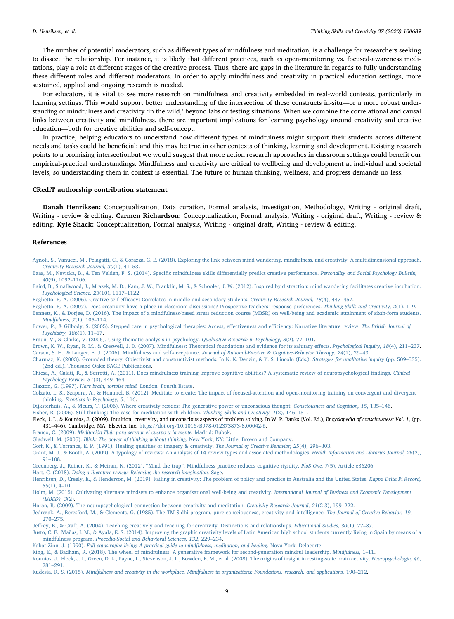The number of potential moderators, such as different types of mindfulness and meditation, is a challenge for researchers seeking to dissect the relationship. For instance, it is likely that different practices, such as open-monitoring vs. focused-awareness meditations, play a role at different stages of the creative process. Thus, there are gaps in the literature in regards to fully understanding these different roles and different moderators. In order to apply mindfulness and creativity in practical education settings, more sustained, applied and ongoing research is needed.

For educators, it is vital to see more research on mindfulness and creativity embedded in real-world contexts, particularly in learning settings. This would support better understanding of the intersection of these constructs in-situ—or a more robust understanding of mindfulness and creativity 'in the wild,' beyond labs or testing situations. When we combine the correlational and causal links between creativity and mindfulness, there are important implications for learning psychology around creativity and creative education—both for creative abilities and self-concept.

In practice, helping educators to understand how different types of mindfulness might support their students across different needs and tasks could be beneficial; and this may be true in other contexts of thinking, learning and development. Existing research points to a promising intersectionbut we would suggest that more action research approaches in classroom settings could benefit our empirical-practical understandings. Mindfulness and creativity are critical to wellbeing and development at individual and societal levels, so understanding them in context is essential. The future of human thinking, wellness, and progress demands no less.

# CRediT authorship contribution statement

Danah Henriksen: Conceptualization, Data curation, Formal analysis, Investigation, Methodology, Writing - original draft, Writing - review & editing. Carmen Richardson: Conceptualization, Formal analysis, Writing - original draft, Writing - review & editing. Kyle Shack: Conceptualization, Formal analysis, Writing - original draft, Writing - review & editing.

#### References

- <span id="page-8-22"></span>[Agnoli, S., Vanucci, M., Pelagatti, C., & Corazza, G. E. \(2018\). Exploring the link between mind wandering, mindfulness, and creativity: A multidimensional approach.](http://refhub.elsevier.com/S1871-1871(20)30163-2/sbref0005) [Creativity Research Journal, 30](http://refhub.elsevier.com/S1871-1871(20)30163-2/sbref0005)(1), 41–53.
- <span id="page-8-6"></span>[Baas, M., Nevicka, B., & Ten Velden, F. S. \(2014\). Speci](http://refhub.elsevier.com/S1871-1871(20)30163-2/sbref0010)fic mindfulness skills differentially predict creative performance. Personality and Social Psychology Bulletin, 40[\(9\), 1092](http://refhub.elsevier.com/S1871-1871(20)30163-2/sbref0010)–1106.

<span id="page-8-19"></span>[Baird, B., Smallwood, J., Mrazek, M. D., Kam, J. W., Franklin, M. S., & Schooler, J. W. \(2012\). Inspired by distraction: mind wandering facilitates creative incubation.](http://refhub.elsevier.com/S1871-1871(20)30163-2/sbref0015) [Psychological Science, 23](http://refhub.elsevier.com/S1871-1871(20)30163-2/sbref0015)(10), 1117–1122.

<span id="page-8-28"></span>Beghetto, R. A. (2006). Creative self-effi[cacy: Correlates in middle and secondary students.](http://refhub.elsevier.com/S1871-1871(20)30163-2/sbref0020) Creativity Research Journal, 18(4), 447–457.

<span id="page-8-32"></span><span id="page-8-7"></span>[Beghetto, R. A. \(2007\). Does creativity have a place in classroom discussions? Prospective teachers](http://refhub.elsevier.com/S1871-1871(20)30163-2/sbref0025)' response preferences. Thinking Skills and Creativity, 2(1), 1–9. [Bennett, K., & Dorjee, D. \(2016\). The impact of a mindfulness-based stress reduction course \(MBSR\) on well-being and academic attainment of sixth-form students.](http://refhub.elsevier.com/S1871-1871(20)30163-2/sbref0030) [Mindfulness, 7](http://refhub.elsevier.com/S1871-1871(20)30163-2/sbref0030)(1), 105–114.

<span id="page-8-8"></span>[Bower, P., & Gilbody, S. \(2005\). Stepped care in psychological therapies: Access, e](http://refhub.elsevier.com/S1871-1871(20)30163-2/sbref0035)ffectiveness and efficiency: Narrative literature review. The British Journal of [Psychiatry, 186](http://refhub.elsevier.com/S1871-1871(20)30163-2/sbref0035)(1), 11–17.

<span id="page-8-12"></span>[Braun, V., & Clarke, V. \(2006\). Using thematic analysis in psychology.](http://refhub.elsevier.com/S1871-1871(20)30163-2/sbref0040) Qualitative Research in Psychology, 3(2), 77–101.

<span id="page-8-13"></span><span id="page-8-3"></span>[Brown, K. W., Ryan, R. M., & Creswell, J. D. \(2007\). Mindfulness: Theoretical foundations and evidence for its salutary e](http://refhub.elsevier.com/S1871-1871(20)30163-2/sbref0045)ffects. Psychological Inquiry, 18(4), 211–237. [Carson, S. H., & Langer, E. J. \(2006\). Mindfulness and self-acceptance.](http://refhub.elsevier.com/S1871-1871(20)30163-2/sbref0050) Journal of Rational-Emotive & Cognitive-Behavior Therapy, 24(1), 29–43.

<span id="page-8-10"></span>[Charmaz, K. \(2003\). Grounded theory: Objectivist and constructivist methods. In N. K. Denzin, & Y. S. Lincoln \(Eds.\).](http://refhub.elsevier.com/S1871-1871(20)30163-2/sbref0055) Strategies for qualitative inquiry (pp. 509–535). [\(2nd ed.\). Thousand Oaks: SAGE Publications](http://refhub.elsevier.com/S1871-1871(20)30163-2/sbref0055).

<span id="page-8-15"></span>[Chiesa, A., Calati, R., & Serretti, A. \(2011\). Does mindfulness training improve cognitive abilities? A systematic review of neuropsychological](http://refhub.elsevier.com/S1871-1871(20)30163-2/sbref0060) findings. Clinical [Psychology Review, 31](http://refhub.elsevier.com/S1871-1871(20)30163-2/sbref0060)(3), 449–464.

<span id="page-8-24"></span>Claxton, G. (1997). [Hare brain, tortoise mind.](http://refhub.elsevier.com/S1871-1871(20)30163-2/sbref0065) London: Fourth Estate.

<span id="page-8-14"></span>[Colzato, L. S., Szapora, A., & Hommel, B. \(2012\). Meditate to create: The impact of focused-attention and open-monitoring training on convergent and divergent](http://refhub.elsevier.com/S1871-1871(20)30163-2/sbref0070) thinking. Frontiers [in Psychology, 3](http://refhub.elsevier.com/S1871-1871(20)30163-2/sbref0070), 116.

<span id="page-8-29"></span>[Dijksterhuis, A., & Meurs, T. \(2006\). Where creativity resides: The generative power of unconscious thought.](http://refhub.elsevier.com/S1871-1871(20)30163-2/sbref0075) Consciousness and Cognition, 15, 135–146.

<span id="page-8-23"></span>[Fisher, R. \(2006\). Still thinking: The case for meditation with children.](http://refhub.elsevier.com/S1871-1871(20)30163-2/sbref0080) Thinking Skills and Creativity, 1(2), 146–151.

<span id="page-8-20"></span>Fleck, J. I., & Kounios, J. (2009). Intuition, creativity, and unconscious aspects of problem solving. In W. P. Banks (Vol. Ed.), Encyclopedia of consciousness: Vol. 1, (pp. 431–446). Cambridge, MA: Elsevier Inc. <https://doi.org/10.1016/B978-012373873-8.00042-6>.

<span id="page-8-27"></span>Franco, C. (2009). [Meditación Fluir para serenar el cuerpo y la mente.](http://refhub.elsevier.com/S1871-1871(20)30163-2/sbref0090) Madrid: Bubok.

<span id="page-8-25"></span>Gladwell, M. (2005). [Blink: The power of thinking without thinking.](http://refhub.elsevier.com/S1871-1871(20)30163-2/sbref0095) New York, NY: Little, Brown and Company.

<span id="page-8-5"></span>Goff[, K., & Torrance, E. P. \(1991\). Healing qualities of imagery & creativity.](http://refhub.elsevier.com/S1871-1871(20)30163-2/sbref0100) The Journal of Creative Behavior, 25(4), 296–303.

<span id="page-8-11"></span>[Grant, M. J., & Booth, A. \(2009\). A typology of reviews: An analysis of 14 review types and associated methodologies.](http://refhub.elsevier.com/S1871-1871(20)30163-2/sbref0105) Health Information and Libraries Journal, 26(2), 91–[108](http://refhub.elsevier.com/S1871-1871(20)30163-2/sbref0105).

<span id="page-8-16"></span>Greenberg, J., Reiner, K., & Meiran, N. (2012). "Mind the trap"[: Mindfulness practice reduces cognitive rigidity.](http://refhub.elsevier.com/S1871-1871(20)30163-2/sbref0110) PloS One, 7(5), Article e36206.

<span id="page-8-9"></span>Hart, C. (2018). [Doing a literature review: Releasing the research imagination.](http://refhub.elsevier.com/S1871-1871(20)30163-2/sbref0115) Sage.

<span id="page-8-4"></span>[Henriksen, D., Creely, E., & Henderson, M. \(2019\). Failing in creativity: The problem of policy and practice in Australia and the United States.](http://refhub.elsevier.com/S1871-1871(20)30163-2/sbref0120) Kappa Delta Pi Record, 55[\(1\), 4](http://refhub.elsevier.com/S1871-1871(20)30163-2/sbref0120)–10.

<span id="page-8-30"></span>[Holm, M. \(2015\). Cultivating alternate mindsets to enhance organisational well-being and creativity.](http://refhub.elsevier.com/S1871-1871(20)30163-2/sbref0125) International Journal of Business and Economic Development [\(IJBED\), 3](http://refhub.elsevier.com/S1871-1871(20)30163-2/sbref0125)(2).

<span id="page-8-18"></span>[Horan, R. \(2009\). The neuropsychological connection between creativity and meditation.](http://refhub.elsevier.com/S1871-1871(20)30163-2/sbref0130) Creativity Research Journal, 21(2-3), 199–222.

<span id="page-8-17"></span>[Jedrczak, A., Beresford, M., & Clements, G. \(1985\). The TM-Sidhi program, pure consciousness, creativity and intelligence.](http://refhub.elsevier.com/S1871-1871(20)30163-2/sbref0135) The Journal of Creative Behavior, 19, 270–[275.](http://refhub.elsevier.com/S1871-1871(20)30163-2/sbref0135)

<span id="page-8-31"></span>Jeff[rey, B., & Craft, A. \(2004\). Teaching creatively and teaching for creativity: Distinctions and relationships.](http://refhub.elsevier.com/S1871-1871(20)30163-2/sbref0140) Educational Studies, 30(1), 77–87.

<span id="page-8-26"></span>[Justo, C. F., Mañas, I. M., & Ayala, E. S. \(2014\). Improving the graphic creativity levels of Latin American high school students currently living in Spain by means of a](http://refhub.elsevier.com/S1871-1871(20)30163-2/sbref0145) mindfulness program. [Procedia-Social and Behavioral Sciences, 132](http://refhub.elsevier.com/S1871-1871(20)30163-2/sbref0145), 229–234.

<span id="page-8-2"></span>Kabat-Zinn, J. (1990). [Full catastrophe living: A practical guide to mindfulness, meditation, and healing.](http://refhub.elsevier.com/S1871-1871(20)30163-2/sbref0150) Nova York: Delacorte.

<span id="page-8-1"></span>[King, E., & Badham, R. \(2018\). The wheel of mindfulness: A generative framework for second-generation mindful leadership.](http://refhub.elsevier.com/S1871-1871(20)30163-2/sbref0155) Mindfulness, 1–11.

<span id="page-8-21"></span>[Kounios, J., Fleck, J. I., Green, D. L., Payne, L., Stevenson, J. L., Bowden, E. M., et al. \(2008\). The origins of insight in resting-state brain activity.](http://refhub.elsevier.com/S1871-1871(20)30163-2/sbref0160) Neuropsychologia, 46, 281–[291.](http://refhub.elsevier.com/S1871-1871(20)30163-2/sbref0160)

<span id="page-8-0"></span>Kudesia, R. S. (2015). [Mindfulness and creativity in the workplace. Mindfulness in organizations: Foundations, research, and applications.](http://refhub.elsevier.com/S1871-1871(20)30163-2/sbref0165) 190–212.